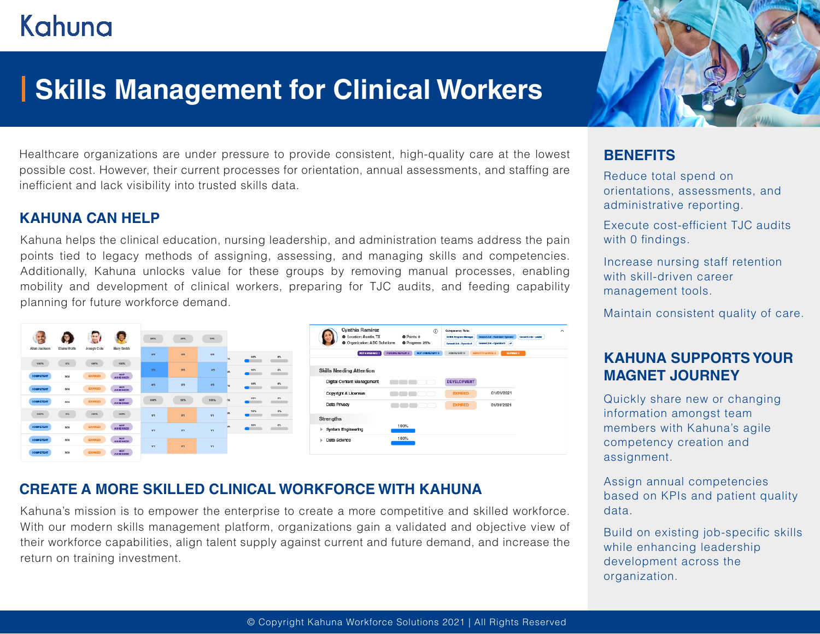# Kahuna

## **Skills Management for Clinical Workers**

Healthcare organizations are under pressure to provide consistent, high-quality care at the lowest possible cost. However, their current processes for orientation, annual assessments, and staffing are inefficient and lack visibility into trusted skills data.

### **KAHUNA CAN HELP**

Kahuna helps the clinical education, nursing leadership, and administration teams address the pain points tied to legacy methods of assigning, assessing, and managing skills and competencies. Additionally, Kahuna unlocks value for these groups by removing manual processes, enabling mobility and development of clinical workers, preparing for TJC audits, and feeding capability planning for future workforce demand.





## **CREATE A MORE SKILLED CLINICAL WORKFORCE WITH KAHUNA**

Kahuna's mission is to empower the enterprise to create a more competitive and skilled workforce. With our modern skills management platform, organizations gain a validated and objective view of their workforce capabilities, align talent supply against current and future demand, and increase the return on training investment.

## **BENEFITS**

Reduce total spend on orientations, assessments, and administrative reporting.

Execute cost-efficient TJC audits with 0 findings.

Increase nursing staff retention with skill-driven career management tools.

Maintain consistent quality of care.

## **KAHUNA SUPPORTS YOUR MAGNET JOURNEY**

Quickly share new or changing information amongst team members with Kahuna's agile competency creation and assignment.

Assign annual competencies based on KPIs and patient quality data.

Build on existing job-specific skills while enhancing leadership development across the organization.